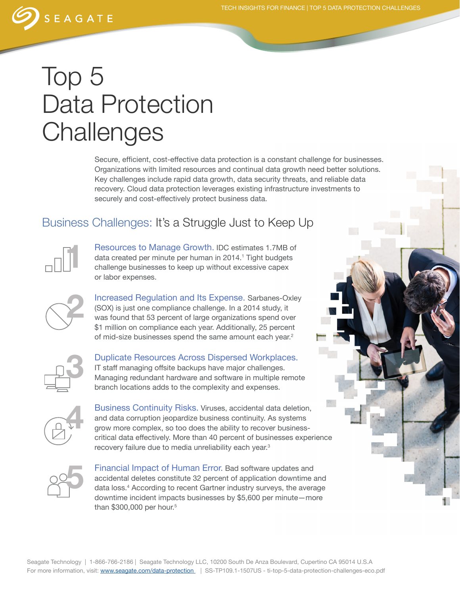

## Top 5 Data Protection **Challenges**

Secure, efficient, cost-effective data protection is a constant challenge for businesses. Organizations with limited resources and continual data growth need better solutions. Key challenges include rapid data growth, data security threats, and reliable data recovery. Cloud data protection leverages existing infrastructure investments to securely and cost-effectively protect business data.

## Business Challenges: It's a Struggle Just to Keep Up



Resources to Manage Growth. IDC estimates 1.7MB of data created per minute per human in 2014.<sup>1</sup> Tight budgets challenge businesses to keep up without excessive capex or labor expenses.



Increased Regulation and Its Expense. Sarbanes-Oxley (SOX) is just one compliance challenge. In a 2014 study, it was found that 53 percent of large organizations spend over \$1 million on compliance each year. Additionally, 25 percent of mid-size businesses spend the same amount each year.<sup>2</sup>



Duplicate Resources Across Dispersed Workplaces. IT staff managing offsite backups have major challenges. Managing redundant hardware and software in multiple remote branch locations adds to the complexity and expenses.



Business Continuity Risks. Viruses, accidental data deletion, and data corruption jeopardize business continuity. As systems grow more complex, so too does the ability to recover businesscritical data effectively. More than 40 percent of businesses experience recovery failure due to media unreliability each year.<sup>3</sup>



Financial Impact of Human Error. Bad software updates and accidental deletes constitute 32 percent of application downtime and data loss.4 According to recent Gartner industry surveys, the average downtime incident impacts businesses by \$5,600 per minute—more than \$300,000 per hour.<sup>5</sup>